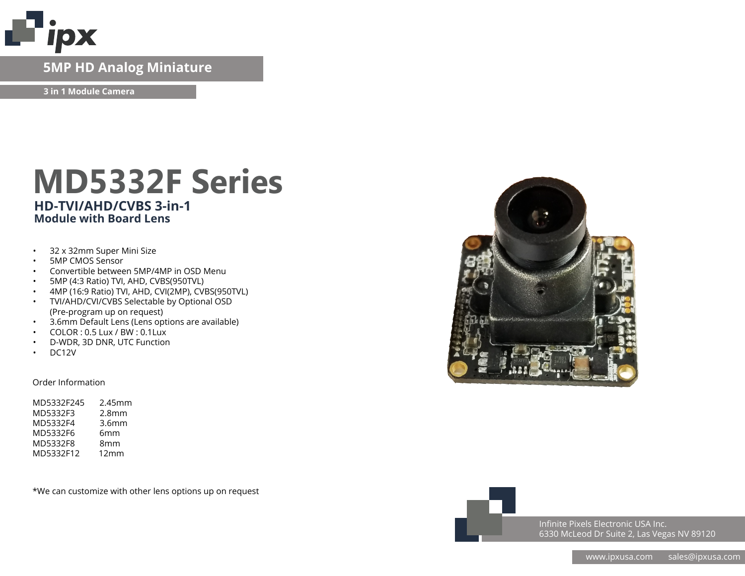

### **IP Network Camera 5MP HD Analog Miniature**

**3 in 1 Module Camera**

## **MD5332F Series HD-TVI/AHD/CVBS 3-in-1 Module with Board Lens**

- 32 x 32mm Super Mini Size
- 5MP CMOS Sensor
- Convertible between 5MP/4MP in OSD Menu
- 5MP (4:3 Ratio) TVI, AHD, CVBS(950TVL)
- 4MP (16:9 Ratio) TVI, AHD, CVI(2MP), CVBS(950TVL)
- TVI/AHD/CVI/CVBS Selectable by Optional OSD (Pre-program up on request)
- 3.6mm Default Lens (Lens options are available)
- COLOR : 0.5 Lux / BW : 0.1Lux
- D-WDR, 3D DNR, UTC Function
- DC12V

#### Order Information

| $2.45$ mm |
|-----------|
|           |
|           |
|           |
|           |
|           |
|           |

\*We can customize with other lens options up on request